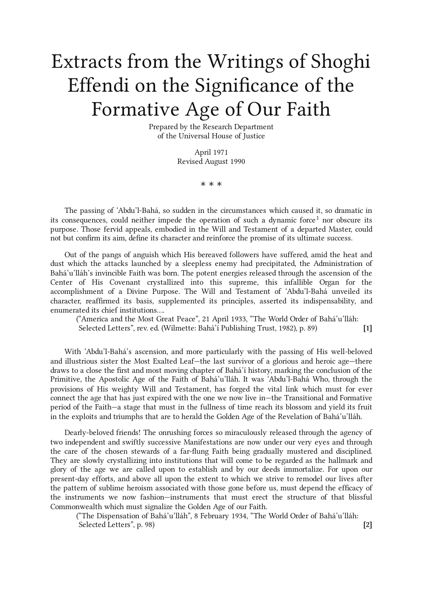## Extracts from the Writings of Shoghi Effendi on the Significance of the Formative Age of Our Faith

Prepared by the Research Department of the Universal House of Justice

> April 1971 Revised August 1990

> > \* \* \*

<span id="page-0-0"></span>The passing of 'Abdu'l-Bahá, so sudden in the circumstances which caused it, so dramatic in its consequences, could neither impede the operation of such a dynamic force<sup>[1](#page-4-0)</sup> nor obscure its purpose. Those fervid appeals, embodied in the Will and Testament of a departed Master, could not but confirm its aim, define its character and reinforce the promise of its ultimate success.

Out of the pangs of anguish which His bereaved followers have suffered, amid the heat and dust which the attacks launched by a sleepless enemy had precipitated, the Administration of Bahá'u'lláh's invincible Faith was born. The potent energies released through the ascension of the Center of His Covenant crystallized into this supreme, this infallible Organ for the accomplishment of a Divine Purpose. The Will and Testament of 'Abdu'l-Bahá unveiled its character, reaffirmed its basis, supplemented its principles, asserted its indispensability, and enumerated its chief institutions....

("America and the Most Great Peace", 21 April 1933, "The World Order of Bahá'u'lláh: Selected Letters", rev. ed. (Wilmette: Bahá'í Publishing Trust, 1982), p. 89) [1]

With 'Abdu'l-Bahá's ascension, and more particularly with the passing of His well-beloved and illustrious sister the Most Exalted Leaf—the last survivor of a glorious and heroic age—there draws to a close the first and most moving chapter of Bahá'í history, marking the conclusion of the Primitive, the Apostolic Age of the Faith of Bahá'u'lláh. It was 'Abdu'l-Bahá Who, through the provisions of His weighty Will and Testament, has forged the vital link which must for ever connect the age that has just expired with the one we now live in—the Transitional and Formative period of the Faith—a stage that must in the fullness of time reach its blossom and yield its fruit in the exploits and triumphs that are to herald the Golden Age of the Revelation of Bahá'u'lláh.

Dearly-beloved friends! The onrushing forces so miraculously released through the agency of two independent and swiftly successive Manifestations are now under our very eyes and through the care of the chosen stewards of a far-flung Faith being gradually mustered and disciplined. They are slowly crystallizing into institutions that will come to be regarded as the hallmark and glory of the age we are called upon to establish and by our deeds immortalize. For upon our present-day efforts, and above all upon the extent to which we strive to remodel our lives after the pattern of sublime heroism associated with those gone before us, must depend the efficacy of the instruments we now fashion—instruments that must erect the structure of that blissful Commonwealth which must signalize the Golden Age of our Faith.

("The Dispensation of Bahá'u'lláh", 8 February 1934, "The World Order of Bahá'u'lláh: Selected Letters", p. 98) [2]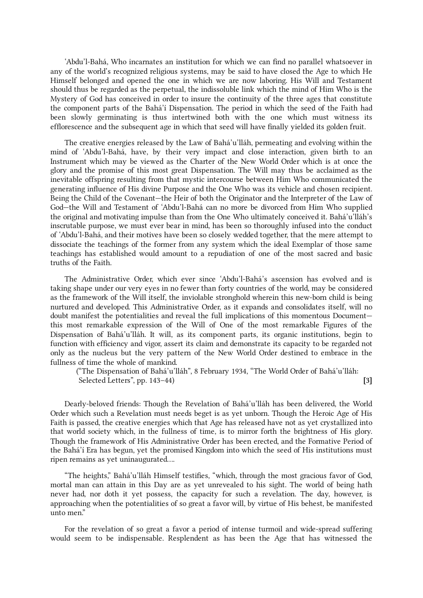'Abdu'l-Bahá, Who incarnates an institution for which we can find no parallel whatsoever in any of the world's recognized religious systems, may be said to have closed the Age to which He Himself belonged and opened the one in which we are now laboring. His Will and Testament should thus be regarded as the perpetual, the indissoluble link which the mind of Him Who is the Mystery of God has conceived in order to insure the continuity of the three ages that constitute the component parts of the Bahá'í Dispensation. The period in which the seed of the Faith had been slowly germinating is thus intertwined both with the one which must witness its efflorescence and the subsequent age in which that seed will have finally yielded its golden fruit.

The creative energies released by the Law of Bahá'u'lláh, permeating and evolving within the mind of 'Abdu'l-Bahá, have, by their very impact and close interaction, given birth to an Instrument which may be viewed as the Charter of the New World Order which is at once the glory and the promise of this most great Dispensation. The Will may thus be acclaimed as the inevitable offspring resulting from that mystic intercourse between Him Who communicated the generating influence of His divine Purpose and the One Who was its vehicle and chosen recipient. Being the Child of the Covenant—the Heir of both the Originator and the Interpreter of the Law of God—the Will and Testament of 'Abdu'l-Bahá can no more be divorced from Him Who supplied the original and motivating impulse than from the One Who ultimately conceived it. Bahá'u'lláh's inscrutable purpose, we must ever bear in mind, has been so thoroughly infused into the conduct of 'Abdu'l-Bahá, and their motives have been so closely wedded together, that the mere attempt to dissociate the teachings of the former from any system which the ideal Exemplar of those same teachings has established would amount to a repudiation of one of the most sacred and basic truths of the Faith.

The Administrative Order, which ever since 'Abdu'l-Bahá's ascension has evolved and is taking shape under our very eyes in no fewer than forty countries of the world, may be considered as the framework of the Will itself, the inviolable stronghold wherein this new-born child is being nurtured and developed. This Administrative Order, as it expands and consolidates itself, will no doubt manifest the potentialities and reveal the full implications of this momentous Document this most remarkable expression of the Will of One of the most remarkable Figures of the Dispensation of Bahá'u'lláh. It will, as its component parts, its organic institutions, begin to function with efficiency and vigor, assert its claim and demonstrate its capacity to be regarded not only as the nucleus but the very pattern of the New World Order destined to embrace in the fullness of time the whole of mankind.

("The Dispensation of Bahá'u'lláh", 8 February 1934, "The World Order of Bahá'u'lláh: Selected Letters", pp. 143–44) [3]

Dearly-beloved friends: Though the Revelation of Bahá'u'lláh has been delivered, the World Order which such a Revelation must needs beget is as yet unborn. Though the Heroic Age of His Faith is passed, the creative energies which that Age has released have not as yet crystallized into that world society which, in the fullness of time, is to mirror forth the brightness of His glory. Though the framework of His Administrative Order has been erected, and the Formative Period of the Bahá'í Era has begun, yet the promised Kingdom into which the seed of His institutions must ripen remains as yet uninaugurated....

"The heights," Bahá'u'lláh Himself testifies, "which, through the most gracious favor of God, mortal man can attain in this Day are as yet unrevealed to his sight. The world of being hath never had, nor doth it yet possess, the capacity for such a revelation. The day, however, is approaching when the potentialities of so great a favor will, by virtue of His behest, be manifested unto men."

For the revelation of so great a favor a period of intense turmoil and wide-spread suffering would seem to be indispensable. Resplendent as has been the Age that has witnessed the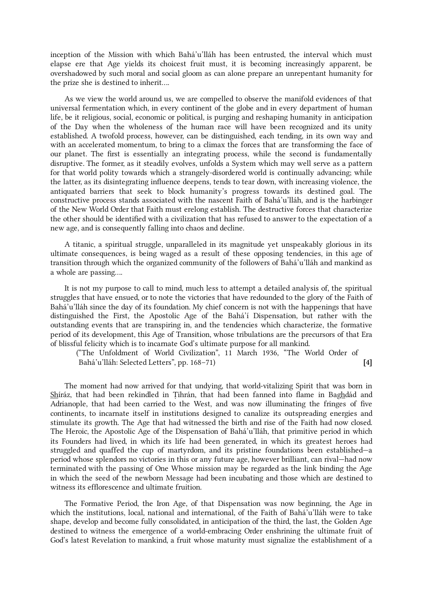inception of the Mission with which Bahá'u'lláh has been entrusted, the interval which must elapse ere that Age yields its choicest fruit must, it is becoming increasingly apparent, be overshadowed by such moral and social gloom as can alone prepare an unrepentant humanity for the prize she is destined to inherit....

As we view the world around us, we are compelled to observe the manifold evidences of that universal fermentation which, in every continent of the globe and in every department of human life, be it religious, social, economic or political, is purging and reshaping humanity in anticipation of the Day when the wholeness of the human race will have been recognized and its unity established. A twofold process, however, can be distinguished, each tending, in its own way and with an accelerated momentum, to bring to a climax the forces that are transforming the face of our planet. The first is essentially an integrating process, while the second is fundamentally disruptive. The former, as it steadily evolves, unfolds a System which may well serve as a pattern for that world polity towards which a strangely-disordered world is continually advancing; while the latter, as its disintegrating influence deepens, tends to tear down, with increasing violence, the antiquated barriers that seek to block humanity's progress towards its destined goal. The constructive process stands associated with the nascent Faith of Bahá'u'lláh, and is the harbinger of the New World Order that Faith must erelong establish. The destructive forces that characterize the other should be identified with a civilization that has refused to answer to the expectation of a new age, and is consequently falling into chaos and decline.

A titanic, a spiritual struggle, unparalleled in its magnitude yet unspeakably glorious in its ultimate consequences, is being waged as a result of these opposing tendencies, in this age of transition through which the organized community of the followers of Bahá'u'lláh and mankind as a whole are passing....

It is not my purpose to call to mind, much less to attempt a detailed analysis of, the spiritual struggles that have ensued, or to note the victories that have redounded to the glory of the Faith of Bahá'u'lláh since the day of its foundation. My chief concern is not with the happenings that have distinguished the First, the Apostolic Age of the Bahá'í Dispensation, but rather with the outstanding events that are transpiring in, and the tendencies which characterize, the formative period of its development, this Age of Transition, whose tribulations are the precursors of that Era of blissful felicity which is to incarnate God's ultimate purpose for all mankind.

("The Unfoldment of World Civilization", 11 March 1936, "The World Order of Bahá'u'lláh: Selected Letters", pp. 168–71) [4]

The moment had now arrived for that undying, that world-vitalizing Spirit that was born in Shíráz, that had been rekindled in Tihrán, that had been fanned into flame in Baghdád and Adrianople, that had been carried to the West, and was now illuminating the fringes of five continents, to incarnate itself in institutions designed to canalize its outspreading energies and stimulate its growth. The Age that had witnessed the birth and rise of the Faith had now closed. The Heroic, the Apostolic Age of the Dispensation of Bahá'u'lláh, that primitive period in which its Founders had lived, in which its life had been generated, in which its greatest heroes had struggled and quaffed the cup of martyrdom, and its pristine foundations been established—a period whose splendors no victories in this or any future age, however brilliant, can rival—had now terminated with the passing of One Whose mission may be regarded as the link binding the Age in which the seed of the newborn Message had been incubating and those which are destined to witness its efflorescence and ultimate fruition.

The Formative Period, the Iron Age, of that Dispensation was now beginning, the Age in which the institutions, local, national and international, of the Faith of Bahá'u'lláh were to take shape, develop and become fully consolidated, in anticipation of the third, the last, the Golden Age destined to witness the emergence of a world-embracing Order enshrining the ultimate fruit of God's latest Revelation to mankind, a fruit whose maturity must signalize the establishment of a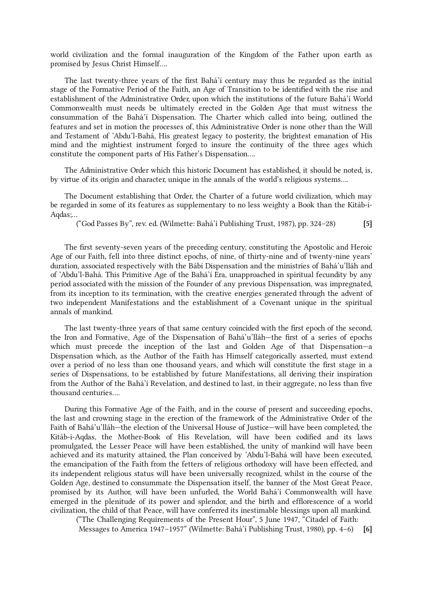world civilization and the formal inauguration of the Kingdom of the Father upon earth as promised by Jesus Christ Himself....

The last twenty-three years of the first Bahá'í century may thus be regarded as the initial stage of the Formative Period of the Faith, an Age of Transition to be identified with the rise and establishment of the Administrative Order, upon which the institutions of the future Bahá'í World Commonwealth must needs be ultimately erected in the Golden Age that must witness the consummation of the Bahá'í Dispensation. The Charter which called into being, outlined the features and set in motion the processes of, this Administrative Order is none other than the Will and Testament of 'Abdu'l-Bahá, His greatest legacy to posterity, the brightest emanation of His mind and the mightiest instrument forged to insure the continuity of the three ages which constitute the component parts of His Father's Dispensation....

The Administrative Order which this historic Document has established, it should be noted, is, by virtue of its origin and character, unique in the annals of the world's religious systems....

The Document establishing that Order, the Charter of a future world civilization, which may be regarded in some of its features as supplementary to no less weighty a Book than the Kitáb-i-Aqdas;...

("God Passes By", rev. ed. (Wilmette: Bahá'í Publishing Trust, 1987), pp. 324–28) [5]

The first seventy-seven years of the preceding century, constituting the Apostolic and Heroic Age of our Faith, fell into three distinct epochs, of nine, of thirty-nine and of twenty-nine years' duration, associated respectively with the Bábí Dispensation and the ministries of Bahá'u'lláh and of 'Abdu'l-Bahá. This Primitive Age of the Bahá'í Era, unapproached in spiritual fecundity by any period associated with the mission of the Founder of any previous Dispensation, was impregnated, from its inception to its termination, with the creative energies generated through the advent of two independent Manifestations and the establishment of a Covenant unique in the spiritual annals of mankind.

The last twenty-three years of that same century coincided with the first epoch of the second, the Iron and Formative, Age of the Dispensation of Bahá'u'lláh—the first of a series of epochs which must precede the inception of the last and Golden Age of that Dispensation—a Dispensation which, as the Author of the Faith has Himself categorically asserted, must extend over a period of no less than one thousand years, and which will constitute the first stage in a series of Dispensations, to be established by future Manifestations, all deriving their inspiration from the Author of the Bahá'í Revelation, and destined to last, in their aggregate, no less than five thousand centuries....

During this Formative Age of the Faith, and in the course of present and succeeding epochs, the last and crowning stage in the erection of the framework of the Administrative Order of the Faith of Bahá'u'lláh—the election of the Universal House of Justice—will have been completed, the Kitáb-i-Aqdas, the Mother-Book of His Revelation, will have been codified and its laws promulgated, the Lesser Peace will have been established, the unity of mankind will have been achieved and its maturity attained, the Plan conceived by 'Abdu'l-Bahá will have been executed, the emancipation of the Faith from the fetters of religious orthodoxy will have been effected, and its independent religious status will have been universally recognized, whilst in the course of the Golden Age, destined to consummate the Dispensation itself, the banner of the Most Great Peace, promised by its Author, will have been unfurled, the World Bahá'í Commonwealth will have emerged in the plenitude of its power and splendor, and the birth and efflorescence of a world civilization, the child of that Peace, will have conferred its inestimable blessings upon all mankind.

("The Challenging Requirements of the Present Hour", 5 June 1947, "Citadel of Faith: Messages to America 1947–1957" (Wilmette: Bahá'í Publishing Trust, 1980), pp. 4–6) [6]